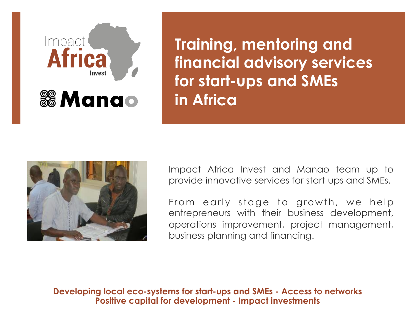

**Training, mentoring and financial advisory services for start-ups and SMEs in Africa** 



Impact Africa Invest and Manao team up to provide innovative services for start-ups and SMEs.

From early stage to growth, we help entrepreneurs with their business development, operations improvement, project management, business planning and financing.

**Developing local eco-systems for start-ups and SMEs - Access to networks Positive capital for development - Impact investments**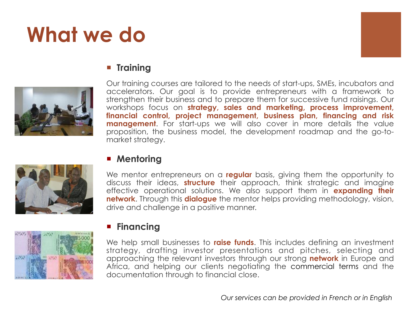# **What we do**



## ¡ **Training**



Our training courses are tailored to the needs of start-ups, SMEs, incubators and accelerators. Our goal is to provide entrepreneurs with a framework to strengthen their business and to prepare them for successive fund raisings. Our workshops focus on **strategy, sales and marketing, process improvement, financial control, project management, business plan, financing and risk management**. For start-ups we will also cover in more details the value proposition, the business model, the development roadmap and the go-tomarket strategy.



#### ¡ **Mentoring**

We mentor entrepreneurs on a **regular** basis, giving them the opportunity to discuss their ideas, **structure** their approach, think strategic and imagine effective operational solutions. We also support them in **expanding their network**. Through this **dialogue** the mentor helps providing methodology, vision, drive and challenge in a positive manner.



### ¡ **Financing**

We help small businesses to **raise funds**. This includes defining an investment strategy, drafting investor presentations and pitches, selecting and approaching the relevant investors through our strong **network** in Europe and Africa, and helping our clients negotiating the commercial terms and the documentation through to financial close.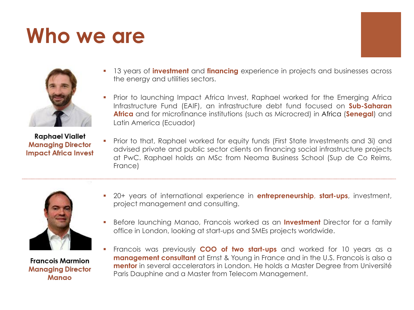## **Who we are**



- § 13 years of **investment** and **financing** experience in projects and businesses across the energy and utilities sectors.
- § Prior to launching Impact Africa Invest, Raphael worked for the Emerging Africa Infrastructure Fund (EAIF), an infrastructure debt fund focused on **Sub-Saharan Africa** and for microfinance institutions (such as Microcred) in Africa (**Senegal**) and Latin America (Ecuador)

**Raphael Viallet Managing Director Impact Africa Invest** 

§ Prior to that, Raphael worked for equity funds (First State Investments and 3i) and advised private and public sector clients on financing social infrastructure projects at PwC. Raphael holds an MSc from Neoma Business School (Sup de Co Reims, France)



**Francois Marmion Managing Director Manao** 

- § 20+ years of international experience in **entrepreneurship**, **start-ups**, investment, project management and consulting.
- § Before launching Manao, Francois worked as an **Investment** Director for a family office in London, looking at start-ups and SMEs projects worldwide.
- § Francois was previously **COO of two start-ups** and worked for 10 years as a **management consultant** at Ernst & Young in France and in the U.S. Francois is also a **mentor** in several accelerators in London. He holds a Master Degree from Université Paris Dauphine and a Master from Telecom Management.